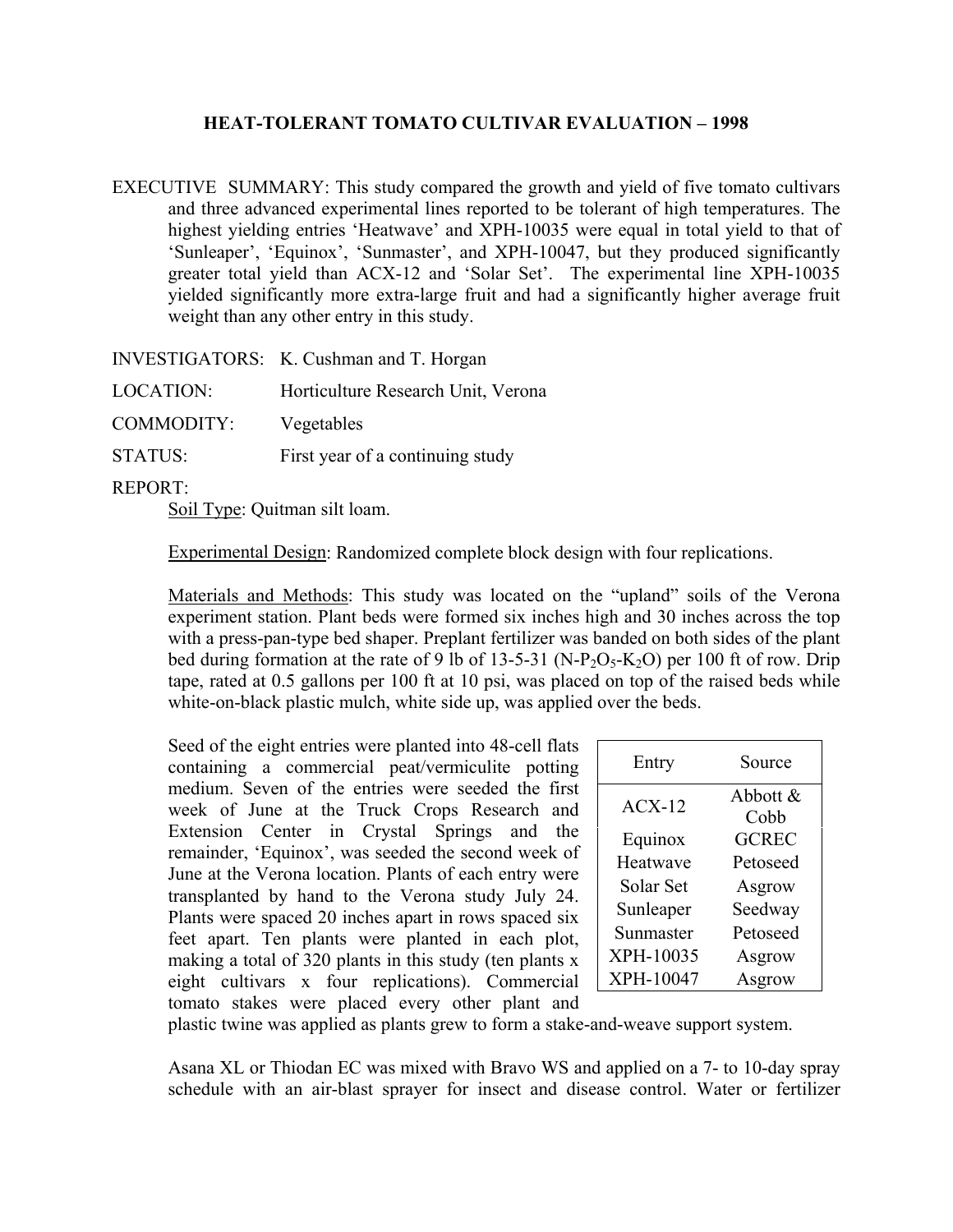## **HEAT-TOLERANT TOMATO CULTIVAR EVALUATION – 1998**

EXECUTIVE SUMMARY: This study compared the growth and yield of five tomato cultivars and three advanced experimental lines reported to be tolerant of high temperatures. The highest yielding entries 'Heatwave' and XPH-10035 were equal in total yield to that of 'Sunleaper', 'Equinox', 'Sunmaster', and XPH-10047, but they produced significantly greater total yield than ACX-12 and 'Solar Set'. The experimental line XPH-10035 yielded significantly more extra-large fruit and had a significantly higher average fruit weight than any other entry in this study.

|                  | INVESTIGATORS: K. Cushman and T. Horgan |
|------------------|-----------------------------------------|
| <b>LOCATION:</b> | Horticulture Research Unit, Verona      |
| COMMODITY:       | Vegetables                              |
| <b>STATUS:</b>   | First year of a continuing study        |
| <b>DEDADE</b>    |                                         |

REPORT:

Soil Type: Quitman silt loam.

Experimental Design: Randomized complete block design with four replications.

Materials and Methods: This study was located on the "upland" soils of the Verona experiment station. Plant beds were formed six inches high and 30 inches across the top with a press-pan-type bed shaper. Preplant fertilizer was banded on both sides of the plant bed during formation at the rate of 9 lb of 13-5-31 (N-P<sub>2</sub>O<sub>5</sub>-K<sub>2</sub>O) per 100 ft of row. Drip tape, rated at 0.5 gallons per 100 ft at 10 psi, was placed on top of the raised beds while white-on-black plastic mulch, white side up, was applied over the beds.

Seed of the eight entries were planted into 48-cell flats containing a commercial peat/vermiculite potting medium. Seven of the entries were seeded the first week of June at the Truck Crops Research and Extension Center in Crystal Springs and the remainder, 'Equinox', was seeded the second week of June at the Verona location. Plants of each entry were transplanted by hand to the Verona study July 24. Plants were spaced 20 inches apart in rows spaced six feet apart. Ten plants were planted in each plot, making a total of 320 plants in this study (ten plants x eight cultivars x four replications). Commercial tomato stakes were placed every other plant and

| Entry     | Source              |  |  |  |
|-----------|---------------------|--|--|--|
| $ACX-12$  | Abbott $\&$<br>Cobb |  |  |  |
| Equinox   | <b>GCREC</b>        |  |  |  |
| Heatwave  | Petoseed            |  |  |  |
| Solar Set | Asgrow              |  |  |  |
| Sunleaper | Seedway             |  |  |  |
| Sunmaster | Petoseed            |  |  |  |
| XPH-10035 | Asgrow              |  |  |  |
| XPH-10047 | Asgrow              |  |  |  |

plastic twine was applied as plants grew to form a stake-and-weave support system.

Asana XL or Thiodan EC was mixed with Bravo WS and applied on a 7- to 10-day spray schedule with an air-blast sprayer for insect and disease control. Water or fertilizer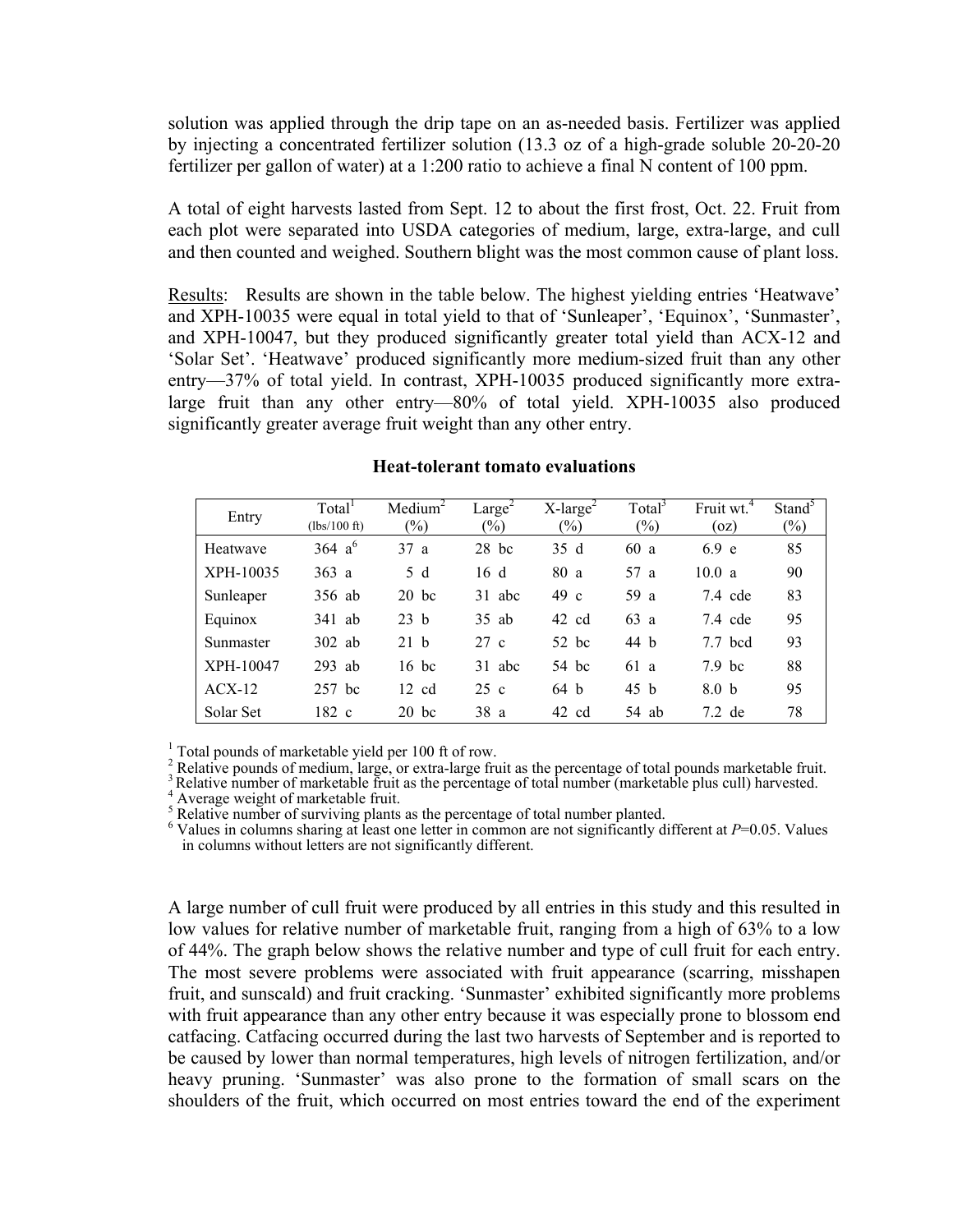solution was applied through the drip tape on an as-needed basis. Fertilizer was applied by injecting a concentrated fertilizer solution (13.3 oz of a high-grade soluble 20-20-20 fertilizer per gallon of water) at a 1:200 ratio to achieve a final N content of 100 ppm.

A total of eight harvests lasted from Sept. 12 to about the first frost, Oct. 22. Fruit from each plot were separated into USDA categories of medium, large, extra-large, and cull and then counted and weighed. Southern blight was the most common cause of plant loss.

Results: Results are shown in the table below. The highest yielding entries 'Heatwave' and XPH-10035 were equal in total yield to that of 'Sunleaper', 'Equinox', 'Sunmaster', and XPH-10047, but they produced significantly greater total yield than ACX-12 and 'Solar Set'. 'Heatwave' produced significantly more medium-sized fruit than any other entry—37% of total yield. In contrast, XPH-10035 produced significantly more extralarge fruit than any other entry—80% of total yield. XPH-10035 also produced significantly greater average fruit weight than any other entry.

| Entry     | Total <sup>1</sup><br>$(lbs/100 \text{ ft})$ | Median <sup>2</sup><br>$(\%)$ | Large <sup>2</sup><br>$(\%)$ | $X$ -large <sup>2</sup><br>$(\%)$ | Total <sup>3</sup><br>$(\%)$ | Fruit wt. <sup>4</sup><br>(oz) | Stand <sup>3</sup><br>$(\%)$ |
|-----------|----------------------------------------------|-------------------------------|------------------------------|-----------------------------------|------------------------------|--------------------------------|------------------------------|
| Heatwave  | 364 $a^6$                                    | 37a                           | $28$ bc                      | 35 d                              | 60a                          | 6.9 e                          | 85                           |
| XPH-10035 | 363a                                         | 5 d                           | 16 d                         | 80 a                              | 57 a                         | 10.0 a                         | 90                           |
| Sunleaper | 356 ab                                       | $20$ bc                       | 31 abc                       | 49 c                              | 59 a                         | $7.4$ cde                      | 83                           |
| Equinox   | 341 ab                                       | 23 h                          | $35$ ab                      | 42 cd                             | 63a                          | $7.4$ cde                      | 95                           |
| Sunmaster | $302$ ab                                     | 21 h                          | 27 c                         | $52$ bc                           | 44 h                         | $7.7$ bcd                      | 93                           |
| XPH-10047 | $293$ ab                                     | $16$ bc                       | 31 abc                       | 54 bc                             | 61 a                         | $7.9$ bc                       | 88                           |
| $ACX-12$  | 257 bc                                       | $12 \text{ cd}$               | 25c                          | 64 b                              | 45 b                         | 8.0 <sub>b</sub>               | 95                           |
| Solar Set | 182 c                                        | $20$ bc                       | 38 a                         | 42 cd                             | 54 ab                        | $7.2$ de                       | 78                           |

## **Heat-tolerant tomato evaluations**

<sup>1</sup> Total pounds of marketable yield per 100 ft of row.

<sup>2</sup> Relative pounds of medium, large, or extra-large fruit as the percentage of total pounds marketable fruit.

Relative pounds of medium, large, or extra-large fruit as the percentage of total pounds marketable fruit.<br>3 Relative number (marketable plus cull) harvested.<br>4 Averence weight of marketable fruit.

Average weight of marketable fruit.

5 Relative number of surviving plants as the percentage of total number planted.

6 Values in columns sharing at least one letter in common are not significantly different at *P*=0.05. Values in columns without letters are not significantly different.

A large number of cull fruit were produced by all entries in this study and this resulted in low values for relative number of marketable fruit, ranging from a high of 63% to a low of 44%. The graph below shows the relative number and type of cull fruit for each entry. The most severe problems were associated with fruit appearance (scarring, misshapen fruit, and sunscald) and fruit cracking. 'Sunmaster' exhibited significantly more problems with fruit appearance than any other entry because it was especially prone to blossom end catfacing. Catfacing occurred during the last two harvests of September and is reported to be caused by lower than normal temperatures, high levels of nitrogen fertilization, and/or heavy pruning. 'Sunmaster' was also prone to the formation of small scars on the shoulders of the fruit, which occurred on most entries toward the end of the experiment